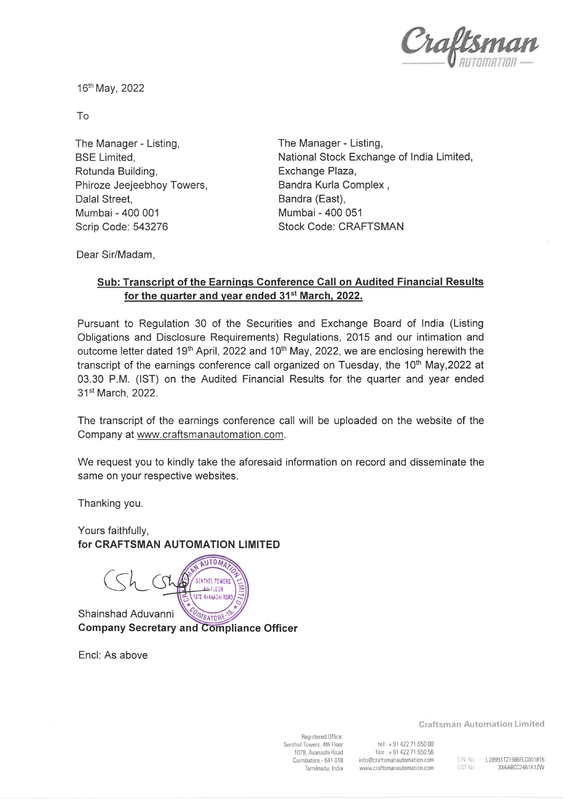

16th May, 2022

To

The Manager - Listing, BSE Limited, Rotunda Building, Phiroze Jeejeebhoy Towers, Dalal Street, Mumbai - 400 001 Scrip Code: 543276

The Manager- Listing, National Stock Exchange of India Limited, Exchange Plaza, Bandra Kurla Complex , Bandra (East), Mumbai - 400 051 Stock Code: CRAFTSMAN

Dear Sir/Madam,

## Sub: Transcript of the Earnings Conference Call on Audited Financial Results for the quarter and year ended 31<sup>st</sup> March, 2022.

Pursuant to Regulation 30 of the Securities and Exchange Board of India (Listing Obligations and Disclosure Requirements) Regulations, 2015 and our intimation and outcome letter dated 19<sup>th</sup> April, 2022 and 10<sup>th</sup> May, 2022, we are enclosing herewith the transcript of the earnings conference call organized on Tuesday, the 10<sup>th</sup> May, 2022 at 03.30 P.M. (IST) on the Audited Financial Results for the quarter and year ended 31st March, 2022.

The transcript of the earnings conference call will be uploaded on the website of the Company at www.craftsmanautomation.com.

We request you to kindly take the aforesaid information on record and disseminate the same on your respective websites.

Thanking you.

Yours faithfully, for CRAFTSMAN AUTOMATION LIMITED

AUTOMA C^L **SENTHEL TOWERS AILFLOOR** 1078. AVANASHI ROA

Shainshad Aduvanni Company Secretary and

End: As above

Registered Office: Senthei Towers, 4th Floor 1078, Avanashi Road Coimbatore - 641 018 Tamilnadu, India

tel:+91 42271 650 00 fax :+91422 71 650 56 info@craftsmanautomation. com www. craftsmanautomation. com

Craftsman Automation Limited

CIN No : L28991TZ1986PLC001816 GST No: 33AABCC2461K1ZW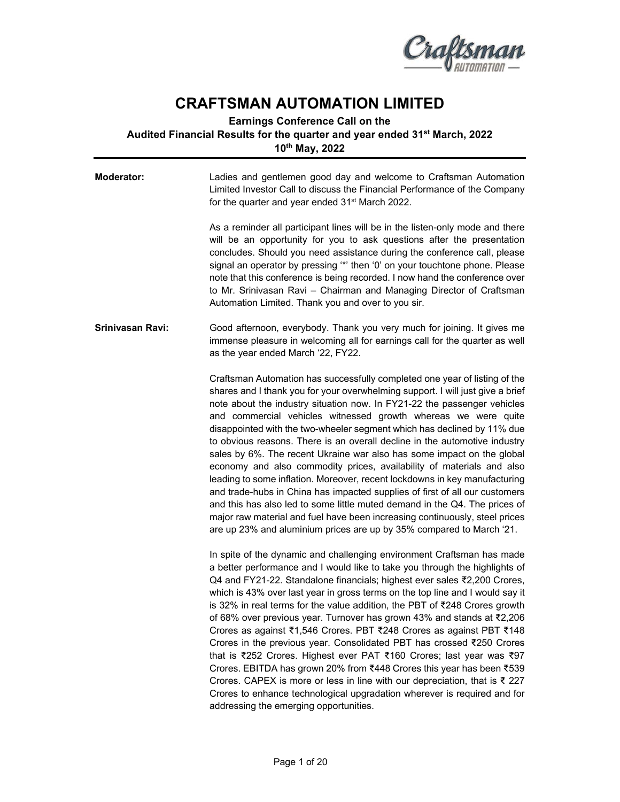

## **CRAFTSMAN AUTOMATION LIMITED**

## **Earnings Conference Call on the Audited Financial Results for the quarter and year ended 31st March, 2022 10th May, 2022**

| <b>Moderator:</b> | Ladies and gentlemen good day and welcome to Craftsman Automation<br>Limited Investor Call to discuss the Financial Performance of the Company<br>for the quarter and year ended 31 <sup>st</sup> March 2022.                                                                                                                                                                                                                                                                                                                                                                                                                                                                                                                                                                                                                                                                                                                                                                                                            |
|-------------------|--------------------------------------------------------------------------------------------------------------------------------------------------------------------------------------------------------------------------------------------------------------------------------------------------------------------------------------------------------------------------------------------------------------------------------------------------------------------------------------------------------------------------------------------------------------------------------------------------------------------------------------------------------------------------------------------------------------------------------------------------------------------------------------------------------------------------------------------------------------------------------------------------------------------------------------------------------------------------------------------------------------------------|
|                   | As a reminder all participant lines will be in the listen-only mode and there<br>will be an opportunity for you to ask questions after the presentation<br>concludes. Should you need assistance during the conference call, please<br>signal an operator by pressing "*' then '0' on your touchtone phone. Please<br>note that this conference is being recorded. I now hand the conference over<br>to Mr. Srinivasan Ravi - Chairman and Managing Director of Craftsman<br>Automation Limited. Thank you and over to you sir.                                                                                                                                                                                                                                                                                                                                                                                                                                                                                          |
| Srinivasan Ravi:  | Good afternoon, everybody. Thank you very much for joining. It gives me<br>immense pleasure in welcoming all for earnings call for the quarter as well<br>as the year ended March '22, FY22.                                                                                                                                                                                                                                                                                                                                                                                                                                                                                                                                                                                                                                                                                                                                                                                                                             |
|                   | Craftsman Automation has successfully completed one year of listing of the<br>shares and I thank you for your overwhelming support. I will just give a brief<br>note about the industry situation now. In FY21-22 the passenger vehicles<br>and commercial vehicles witnessed growth whereas we were quite<br>disappointed with the two-wheeler segment which has declined by 11% due<br>to obvious reasons. There is an overall decline in the automotive industry<br>sales by 6%. The recent Ukraine war also has some impact on the global<br>economy and also commodity prices, availability of materials and also<br>leading to some inflation. Moreover, recent lockdowns in key manufacturing<br>and trade-hubs in China has impacted supplies of first of all our customers<br>and this has also led to some little muted demand in the Q4. The prices of<br>major raw material and fuel have been increasing continuously, steel prices<br>are up 23% and aluminium prices are up by 35% compared to March '21. |
|                   | In spite of the dynamic and challenging environment Craftsman has made<br>a better performance and I would like to take you through the highlights of<br>Q4 and FY21-22. Standalone financials; highest ever sales ₹2,200 Crores,<br>which is 43% over last year in gross terms on the top line and I would say it<br>is 32% in real terms for the value addition, the PBT of ₹248 Crores growth<br>of 68% over previous year. Turnover has grown 43% and stands at ₹2,206<br>Crores as against ₹1,546 Crores. PBT ₹248 Crores as against PBT ₹148<br>Crores in the previous year. Consolidated PBT has crossed ₹250 Crores<br>that is ₹252 Crores. Highest ever PAT ₹160 Crores; last year was ₹97<br>Crores. EBITDA has grown 20% from ₹448 Crores this year has been ₹539<br>Crores. CAPEX is more or less in line with our depreciation, that is ₹ 227<br>Crores to enhance technological upgradation wherever is required and for<br>addressing the emerging opportunities.                                         |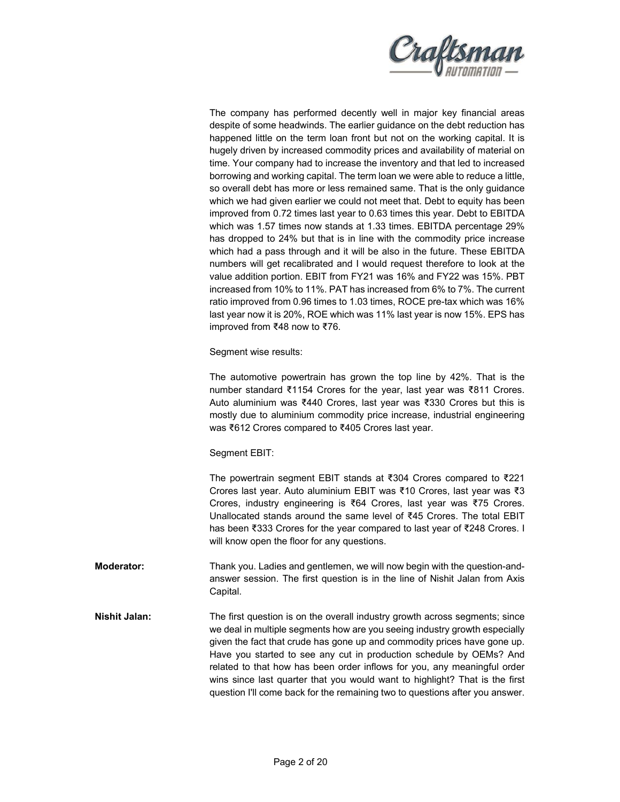

The company has performed decently well in major key financial areas despite of some headwinds. The earlier guidance on the debt reduction has happened little on the term loan front but not on the working capital. It is hugely driven by increased commodity prices and availability of material on time. Your company had to increase the inventory and that led to increased borrowing and working capital. The term loan we were able to reduce a little, so overall debt has more or less remained same. That is the only guidance which we had given earlier we could not meet that. Debt to equity has been improved from 0.72 times last year to 0.63 times this year. Debt to EBITDA which was 1.57 times now stands at 1.33 times. EBITDA percentage 29% has dropped to 24% but that is in line with the commodity price increase which had a pass through and it will be also in the future. These EBITDA numbers will get recalibrated and I would request therefore to look at the value addition portion. EBIT from FY21 was 16% and FY22 was 15%. PBT increased from 10% to 11%. PAT has increased from 6% to 7%. The current ratio improved from 0.96 times to 1.03 times, ROCE pre-tax which was 16% last year now it is 20%, ROE which was 11% last year is now 15%. EPS has improved from ₹48 now to ₹76.

Segment wise results:

The automotive powertrain has grown the top line by 42%. That is the number standard ₹1154 Crores for the year, last year was ₹811 Crores. Auto aluminium was ₹440 Crores, last year was ₹330 Crores but this is mostly due to aluminium commodity price increase, industrial engineering was ₹612 Crores compared to ₹405 Crores last year.

## Segment EBIT:

The powertrain segment EBIT stands at ₹304 Crores compared to ₹221 Crores last year. Auto aluminium EBIT was ₹10 Crores, last year was ₹3 Crores, industry engineering is ₹64 Crores, last year was ₹75 Crores. Unallocated stands around the same level of ₹45 Crores. The total EBIT has been ₹333 Crores for the year compared to last year of ₹248 Crores. I will know open the floor for any questions.

- **Moderator:** Thank you. Ladies and gentlemen, we will now begin with the question-andanswer session. The first question is in the line of Nishit Jalan from Axis Capital.
- **Nishit Jalan:** The first question is on the overall industry growth across segments; since we deal in multiple segments how are you seeing industry growth especially given the fact that crude has gone up and commodity prices have gone up. Have you started to see any cut in production schedule by OEMs? And related to that how has been order inflows for you, any meaningful order wins since last quarter that you would want to highlight? That is the first question I'll come back for the remaining two to questions after you answer.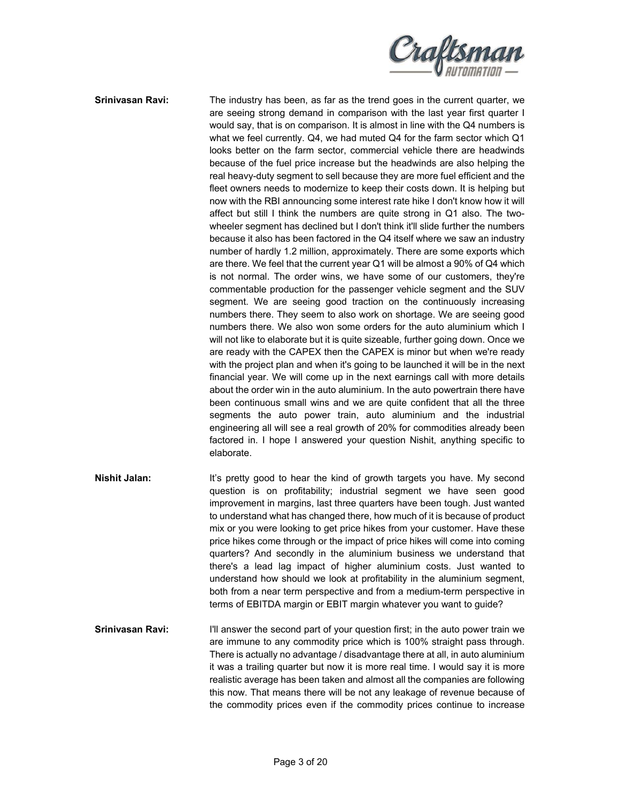

**Srinivasan Ravi:** The industry has been, as far as the trend goes in the current quarter, we are seeing strong demand in comparison with the last year first quarter I would say, that is on comparison. It is almost in line with the Q4 numbers is what we feel currently. Q4, we had muted Q4 for the farm sector which Q1 looks better on the farm sector, commercial vehicle there are headwinds because of the fuel price increase but the headwinds are also helping the real heavy-duty segment to sell because they are more fuel efficient and the fleet owners needs to modernize to keep their costs down. It is helping but now with the RBI announcing some interest rate hike I don't know how it will affect but still I think the numbers are quite strong in Q1 also. The twowheeler segment has declined but I don't think it'll slide further the numbers because it also has been factored in the Q4 itself where we saw an industry number of hardly 1.2 million, approximately. There are some exports which are there. We feel that the current year Q1 will be almost a 90% of Q4 which is not normal. The order wins, we have some of our customers, they're commentable production for the passenger vehicle segment and the SUV segment. We are seeing good traction on the continuously increasing numbers there. They seem to also work on shortage. We are seeing good numbers there. We also won some orders for the auto aluminium which I will not like to elaborate but it is quite sizeable, further going down. Once we are ready with the CAPEX then the CAPEX is minor but when we're ready with the project plan and when it's going to be launched it will be in the next financial year. We will come up in the next earnings call with more details about the order win in the auto aluminium. In the auto powertrain there have been continuous small wins and we are quite confident that all the three segments the auto power train, auto aluminium and the industrial engineering all will see a real growth of 20% for commodities already been factored in. I hope I answered your question Nishit, anything specific to elaborate.

- **Nishit Jalan:** It's pretty good to hear the kind of growth targets you have. My second question is on profitability; industrial segment we have seen good improvement in margins, last three quarters have been tough. Just wanted to understand what has changed there, how much of it is because of product mix or you were looking to get price hikes from your customer. Have these price hikes come through or the impact of price hikes will come into coming quarters? And secondly in the aluminium business we understand that there's a lead lag impact of higher aluminium costs. Just wanted to understand how should we look at profitability in the aluminium segment, both from a near term perspective and from a medium-term perspective in terms of EBITDA margin or EBIT margin whatever you want to guide?
- **Srinivasan Ravi:** I'll answer the second part of your question first; in the auto power train we are immune to any commodity price which is 100% straight pass through. There is actually no advantage / disadvantage there at all, in auto aluminium it was a trailing quarter but now it is more real time. I would say it is more realistic average has been taken and almost all the companies are following this now. That means there will be not any leakage of revenue because of the commodity prices even if the commodity prices continue to increase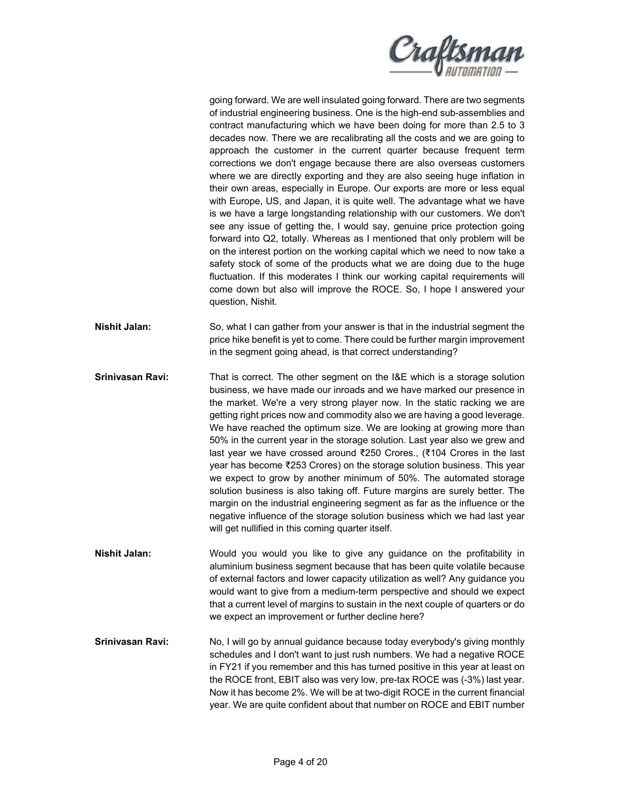

going forward. We are well insulated going forward. There are two segments of industrial engineering business. One is the high-end sub-assemblies and contract manufacturing which we have been doing for more than 2.5 to 3 decades now. There we are recalibrating all the costs and we are going to approach the customer in the current quarter because frequent term corrections we don't engage because there are also overseas customers where we are directly exporting and they are also seeing huge inflation in their own areas, especially in Europe. Our exports are more or less equal with Europe, US, and Japan, it is quite well. The advantage what we have is we have a large longstanding relationship with our customers. We don't see any issue of getting the, I would say, genuine price protection going forward into Q2, totally. Whereas as I mentioned that only problem will be on the interest portion on the working capital which we need to now take a safety stock of some of the products what we are doing due to the huge fluctuation. If this moderates I think our working capital requirements will come down but also will improve the ROCE. So, I hope I answered your question, Nishit.

**Nishit Jalan:** So, what I can gather from your answer is that in the industrial segment the price hike benefit is yet to come. There could be further margin improvement in the segment going ahead, is that correct understanding?

- **Srinivasan Ravi:** That is correct. The other segment on the I&E which is a storage solution business, we have made our inroads and we have marked our presence in the market. We're a very strong player now. In the static racking we are getting right prices now and commodity also we are having a good leverage. We have reached the optimum size. We are looking at growing more than 50% in the current year in the storage solution. Last year also we grew and last year we have crossed around ₹250 Crores., (₹104 Crores in the last year has become ₹253 Crores) on the storage solution business. This year we expect to grow by another minimum of 50%. The automated storage solution business is also taking off. Future margins are surely better. The margin on the industrial engineering segment as far as the influence or the negative influence of the storage solution business which we had last year will get nullified in this coming quarter itself.
- **Nishit Jalan:** Would you would you like to give any guidance on the profitability in aluminium business segment because that has been quite volatile because of external factors and lower capacity utilization as well? Any guidance you would want to give from a medium-term perspective and should we expect that a current level of margins to sustain in the next couple of quarters or do we expect an improvement or further decline here?
- **Srinivasan Ravi:** No, I will go by annual guidance because today everybody's giving monthly schedules and I don't want to just rush numbers. We had a negative ROCE in FY21 if you remember and this has turned positive in this year at least on the ROCE front, EBIT also was very low, pre-tax ROCE was (-3%) last year. Now it has become 2%. We will be at two-digit ROCE in the current financial year. We are quite confident about that number on ROCE and EBIT number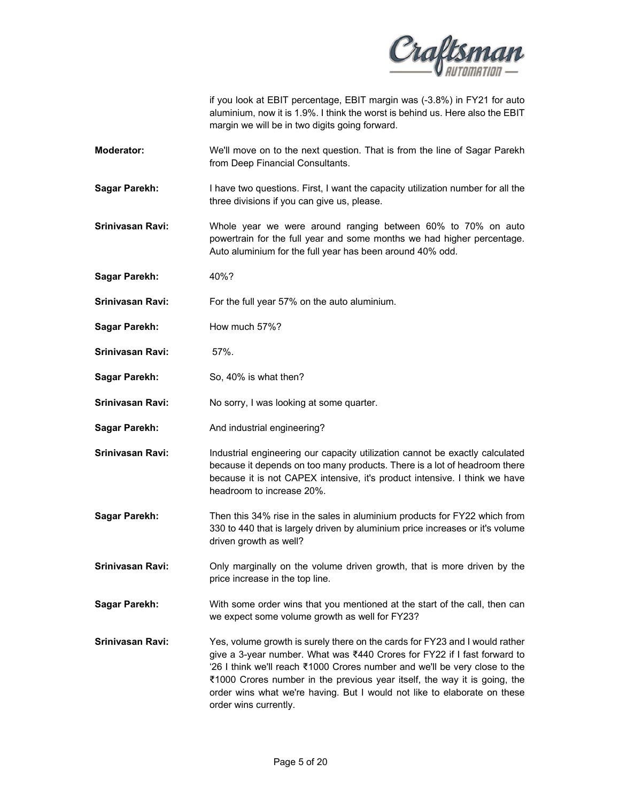

if you look at EBIT percentage, EBIT margin was (-3.8%) in FY21 for auto aluminium, now it is 1.9%. I think the worst is behind us. Here also the EBIT margin we will be in two digits going forward.

- **Moderator:** We'll move on to the next question. That is from the line of Sagar Parekh from Deep Financial Consultants.
- **Sagar Parekh:** I have two questions. First, I want the capacity utilization number for all the three divisions if you can give us, please.
- **Srinivasan Ravi:** Whole year we were around ranging between 60% to 70% on auto powertrain for the full year and some months we had higher percentage. Auto aluminium for the full year has been around 40% odd.
- **Sagar Parekh:** 40%?
- **Srinivasan Ravi:** For the full year 57% on the auto aluminium.
- **Sagar Parekh:** How much 57%?
- **Srinivasan Ravi:** 57%.
- **Sagar Parekh:** So, 40% is what then?
- **Srinivasan Ravi:** No sorry, I was looking at some quarter.
- **Sagar Parekh:** And industrial engineering?
- **Srinivasan Ravi: Industrial engineering our capacity utilization cannot be exactly calculated** because it depends on too many products. There is a lot of headroom there because it is not CAPEX intensive, it's product intensive. I think we have headroom to increase 20%.
- **Sagar Parekh:** Then this 34% rise in the sales in aluminium products for FY22 which from 330 to 440 that is largely driven by aluminium price increases or it's volume driven growth as well?
- **Srinivasan Ravi: Only marginally on the volume driven growth, that is more driven by the** price increase in the top line.
- **Sagar Parekh:** With some order wins that you mentioned at the start of the call, then can we expect some volume growth as well for FY23?
- **Srinivasan Ravi:** Yes, volume growth is surely there on the cards for FY23 and I would rather give a 3-year number. What was ₹440 Crores for FY22 if I fast forward to '26 I think we'll reach ₹1000 Crores number and we'll be very close to the ₹1000 Crores number in the previous year itself, the way it is going, the order wins what we're having. But I would not like to elaborate on these order wins currently.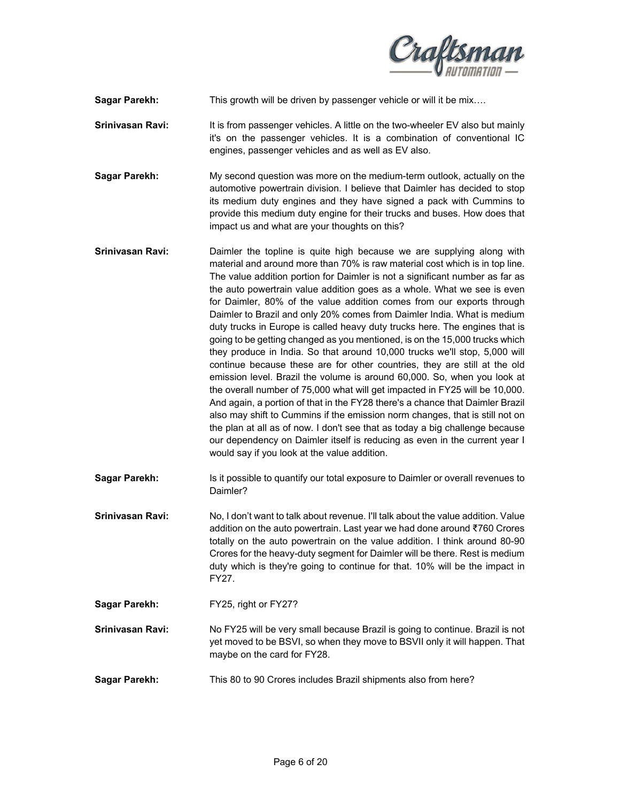

**Sagar Parekh:** This growth will be driven by passenger vehicle or will it be mix….

- **Srinivasan Ravi:** It is from passenger vehicles. A little on the two-wheeler EV also but mainly it's on the passenger vehicles. It is a combination of conventional IC engines, passenger vehicles and as well as EV also.
- **Sagar Parekh:** My second question was more on the medium-term outlook, actually on the automotive powertrain division. I believe that Daimler has decided to stop its medium duty engines and they have signed a pack with Cummins to provide this medium duty engine for their trucks and buses. How does that impact us and what are your thoughts on this?
- **Srinivasan Ravi:** Daimler the topline is quite high because we are supplying along with material and around more than 70% is raw material cost which is in top line. The value addition portion for Daimler is not a significant number as far as the auto powertrain value addition goes as a whole. What we see is even for Daimler, 80% of the value addition comes from our exports through Daimler to Brazil and only 20% comes from Daimler India. What is medium duty trucks in Europe is called heavy duty trucks here. The engines that is going to be getting changed as you mentioned, is on the 15,000 trucks which they produce in India. So that around 10,000 trucks we'll stop, 5,000 will continue because these are for other countries, they are still at the old emission level. Brazil the volume is around 60,000. So, when you look at the overall number of 75,000 what will get impacted in FY25 will be 10,000. And again, a portion of that in the FY28 there's a chance that Daimler Brazil also may shift to Cummins if the emission norm changes, that is still not on the plan at all as of now. I don't see that as today a big challenge because our dependency on Daimler itself is reducing as even in the current year I would say if you look at the value addition.
- **Sagar Parekh:** Is it possible to quantify our total exposure to Daimler or overall revenues to Daimler?
- **Srinivasan Ravi:** No, I don't want to talk about revenue. I'll talk about the value addition. Value addition on the auto powertrain. Last year we had done around ₹760 Crores totally on the auto powertrain on the value addition. I think around 80-90 Crores for the heavy-duty segment for Daimler will be there. Rest is medium duty which is they're going to continue for that. 10% will be the impact in FY27.
- **Sagar Parekh:** FY25, right or FY27?
- **Srinivasan Ravi:** No FY25 will be very small because Brazil is going to continue. Brazil is not yet moved to be BSVI, so when they move to BSVII only it will happen. That maybe on the card for FY28.
- **Sagar Parekh:** This 80 to 90 Crores includes Brazil shipments also from here?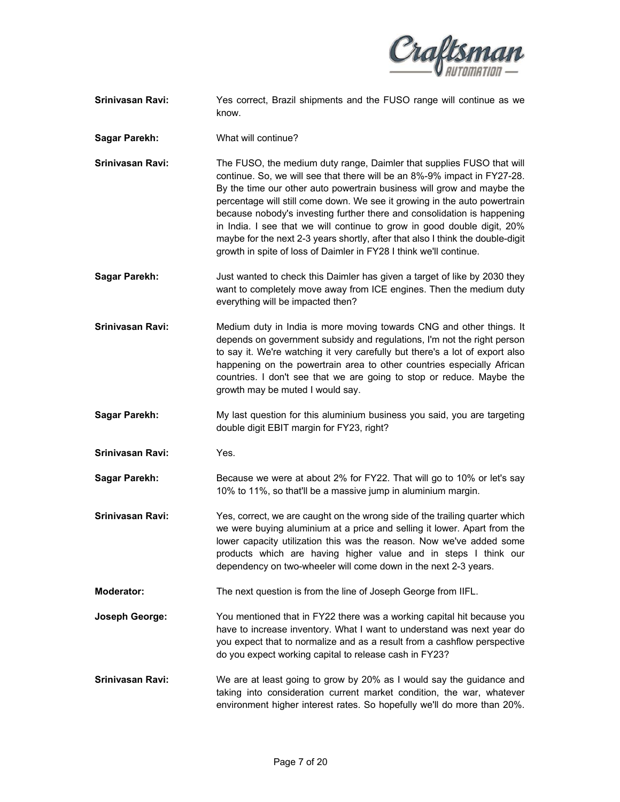

- **Srinivasan Ravi:** Yes correct, Brazil shipments and the FUSO range will continue as we know.
- **Sagar Parekh:** What will continue?
- **Srinivasan Ravi:** The FUSO, the medium duty range, Daimler that supplies FUSO that will continue. So, we will see that there will be an 8%-9% impact in FY27-28. By the time our other auto powertrain business will grow and maybe the percentage will still come down. We see it growing in the auto powertrain because nobody's investing further there and consolidation is happening in India. I see that we will continue to grow in good double digit, 20% maybe for the next 2-3 years shortly, after that also I think the double-digit growth in spite of loss of Daimler in FY28 I think we'll continue.
- **Sagar Parekh:** Just wanted to check this Daimler has given a target of like by 2030 they want to completely move away from ICE engines. Then the medium duty everything will be impacted then?
- **Srinivasan Ravi:** Medium duty in India is more moving towards CNG and other things. It depends on government subsidy and regulations, I'm not the right person to say it. We're watching it very carefully but there's a lot of export also happening on the powertrain area to other countries especially African countries. I don't see that we are going to stop or reduce. Maybe the growth may be muted I would say.
- **Sagar Parekh:** My last question for this aluminium business you said, you are targeting double digit EBIT margin for FY23, right?
- **Srinivasan Ravi:** Yes.
- **Sagar Parekh:** Because we were at about 2% for FY22. That will go to 10% or let's say 10% to 11%, so that'll be a massive jump in aluminium margin.
- **Srinivasan Ravi:** Yes, correct, we are caught on the wrong side of the trailing quarter which we were buying aluminium at a price and selling it lower. Apart from the lower capacity utilization this was the reason. Now we've added some products which are having higher value and in steps I think our dependency on two-wheeler will come down in the next 2-3 years.
- **Moderator:** The next question is from the line of Joseph George from IIFL.
- **Joseph George:** You mentioned that in FY22 there was a working capital hit because you have to increase inventory. What I want to understand was next year do you expect that to normalize and as a result from a cashflow perspective do you expect working capital to release cash in FY23?
- **Srinivasan Ravi:** We are at least going to grow by 20% as I would say the guidance and taking into consideration current market condition, the war, whatever environment higher interest rates. So hopefully we'll do more than 20%.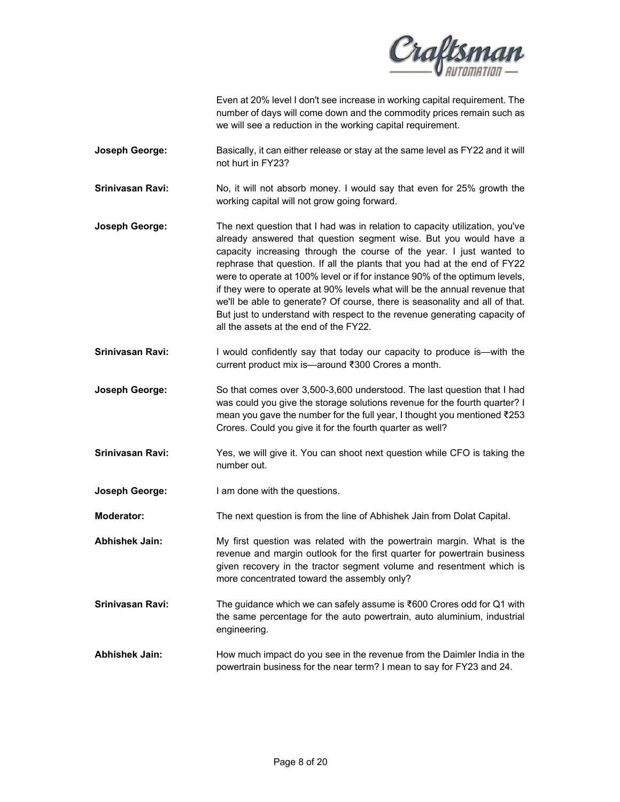

Even at 20% level I don't see increase in working capital requirement. The number of days will come down and the commodity prices remain such as we will see a reduction in the working capital requirement.

- **Joseph George:** Basically, it can either release or stay at the same level as FY22 and it will not hurt in FY23?
- **Srinivasan Ravi:** No, it will not absorb money. I would say that even for 25% growth the working capital will not grow going forward.
- **Joseph George:** The next question that I had was in relation to capacity utilization, you've already answered that question segment wise. But you would have a capacity increasing through the course of the year. I just wanted to rephrase that question. If all the plants that you had at the end of FY22 were to operate at 100% level or if for instance 90% of the optimum levels, if they were to operate at 90% levels what will be the annual revenue that we'll be able to generate? Of course, there is seasonality and all of that. But just to understand with respect to the revenue generating capacity of all the assets at the end of the FY22.
- **Srinivasan Ravi:** I would confidently say that today our capacity to produce is—with the current product mix is—around ₹300 Crores a month.
- **Joseph George:** So that comes over 3,500-3,600 understood. The last question that I had was could you give the storage solutions revenue for the fourth quarter? I mean you gave the number for the full year, I thought you mentioned ₹253 Crores. Could you give it for the fourth quarter as well?
- **Srinivasan Ravi:** Yes, we will give it. You can shoot next question while CFO is taking the number out.
- **Joseph George:** I am done with the questions.
- **Moderator:** The next question is from the line of Abhishek Jain from Dolat Capital.
- **Abhishek Jain:** My first question was related with the powertrain margin. What is the revenue and margin outlook for the first quarter for powertrain business given recovery in the tractor segment volume and resentment which is more concentrated toward the assembly only?
- **Srinivasan Ravi:** The guidance which we can safely assume is ₹600 Crores odd for Q1 with the same percentage for the auto powertrain, auto aluminium, industrial engineering.
- **Abhishek Jain:** How much impact do you see in the revenue from the Daimler India in the powertrain business for the near term? I mean to say for FY23 and 24.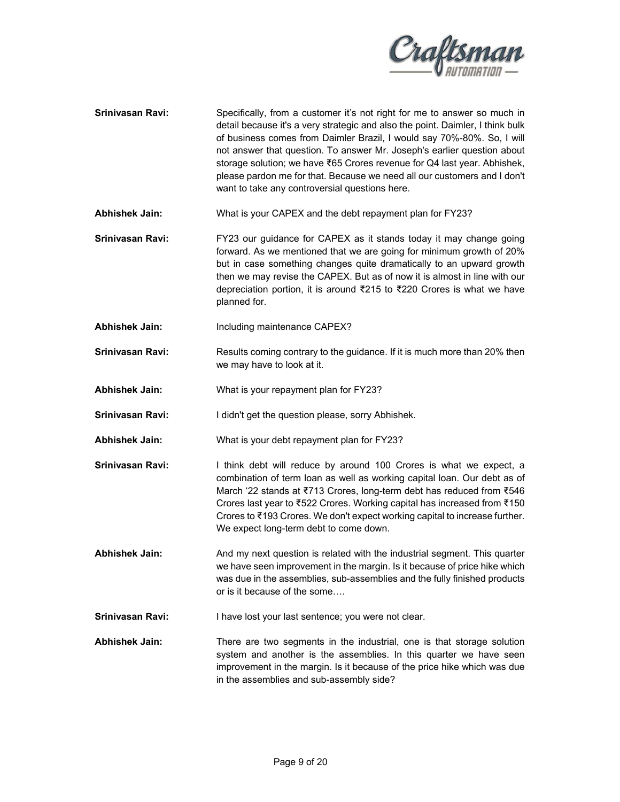

**Srinivasan Ravi:** Specifically, from a customer it's not right for me to answer so much in detail because it's a very strategic and also the point. Daimler, I think bulk of business comes from Daimler Brazil, I would say 70%-80%. So, I will not answer that question. To answer Mr. Joseph's earlier question about storage solution; we have ₹65 Crores revenue for Q4 last year. Abhishek, please pardon me for that. Because we need all our customers and I don't want to take any controversial questions here.

**Abhishek Jain:** What is your CAPEX and the debt repayment plan for FY23?

**Srinivasan Ravi:** FY23 our guidance for CAPEX as it stands today it may change going forward. As we mentioned that we are going for minimum growth of 20% but in case something changes quite dramatically to an upward growth then we may revise the CAPEX. But as of now it is almost in line with our depreciation portion, it is around ₹215 to ₹220 Crores is what we have planned for.

**Abhishek Jain:** Including maintenance CAPEX?

- **Srinivasan Ravi:** Results coming contrary to the guidance. If it is much more than 20% then we may have to look at it.
- **Abhishek Jain:** What is your repayment plan for FY23?
- **Srinivasan Ravi:** I didn't get the question please, sorry Abhishek.
- **Abhishek Jain:** What is your debt repayment plan for FY23?
- **Srinivasan Ravi:** I think debt will reduce by around 100 Crores is what we expect, a combination of term loan as well as working capital loan. Our debt as of March '22 stands at ₹713 Crores, long-term debt has reduced from ₹546 Crores last year to ₹522 Crores. Working capital has increased from ₹150 Crores to ₹193 Crores. We don't expect working capital to increase further. We expect long-term debt to come down.
- **Abhishek Jain:** And my next question is related with the industrial segment. This quarter we have seen improvement in the margin. Is it because of price hike which was due in the assemblies, sub-assemblies and the fully finished products or is it because of the some….
- Srinivasan Ravi: **I** have lost your last sentence; you were not clear.
- **Abhishek Jain:** There are two segments in the industrial, one is that storage solution system and another is the assemblies. In this quarter we have seen improvement in the margin. Is it because of the price hike which was due in the assemblies and sub-assembly side?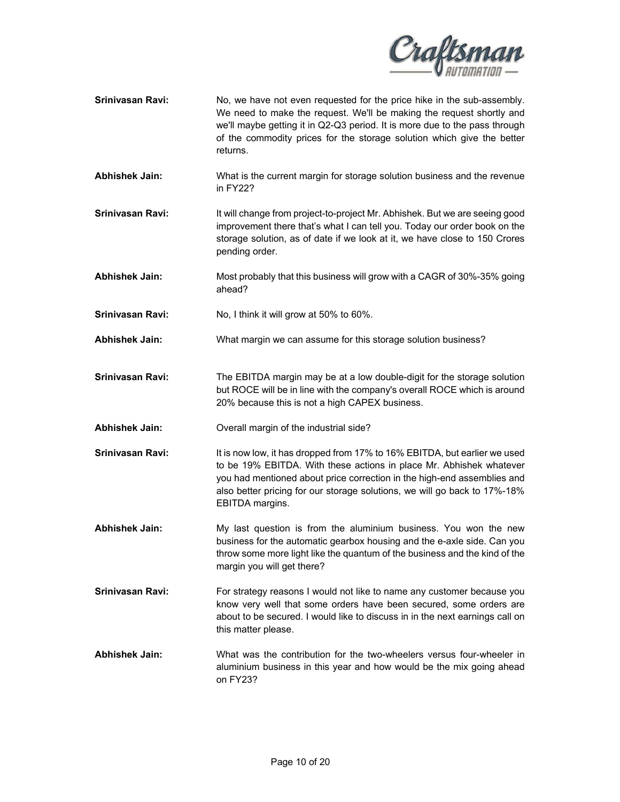

- **Srinivasan Ravi:** No, we have not even requested for the price hike in the sub-assembly. We need to make the request. We'll be making the request shortly and we'll maybe getting it in Q2-Q3 period. It is more due to the pass through of the commodity prices for the storage solution which give the better returns.
- **Abhishek Jain:** What is the current margin for storage solution business and the revenue in FY22?
- **Srinivasan Ravi:** It will change from project-to-project Mr. Abhishek. But we are seeing good improvement there that's what I can tell you. Today our order book on the storage solution, as of date if we look at it, we have close to 150 Crores pending order.
- **Abhishek Jain:** Most probably that this business will grow with a CAGR of 30%-35% going ahead?
- **Srinivasan Ravi:** No, I think it will grow at 50% to 60%.
- **Abhishek Jain:** What margin we can assume for this storage solution business?
- **Srinivasan Ravi:** The EBITDA margin may be at a low double-digit for the storage solution but ROCE will be in line with the company's overall ROCE which is around 20% because this is not a high CAPEX business.
- **Abhishek Jain:** Overall margin of the industrial side?
- **Srinivasan Ravi:** It is now low, it has dropped from 17% to 16% EBITDA, but earlier we used to be 19% EBITDA. With these actions in place Mr. Abhishek whatever you had mentioned about price correction in the high-end assemblies and also better pricing for our storage solutions, we will go back to 17%-18% EBITDA margins.
- **Abhishek Jain:** My last question is from the aluminium business. You won the new business for the automatic gearbox housing and the e-axle side. Can you throw some more light like the quantum of the business and the kind of the margin you will get there?
- **Srinivasan Ravi:** For strategy reasons I would not like to name any customer because you know very well that some orders have been secured, some orders are about to be secured. I would like to discuss in in the next earnings call on this matter please.
- **Abhishek Jain:** What was the contribution for the two-wheelers versus four-wheeler in aluminium business in this year and how would be the mix going ahead on FY23?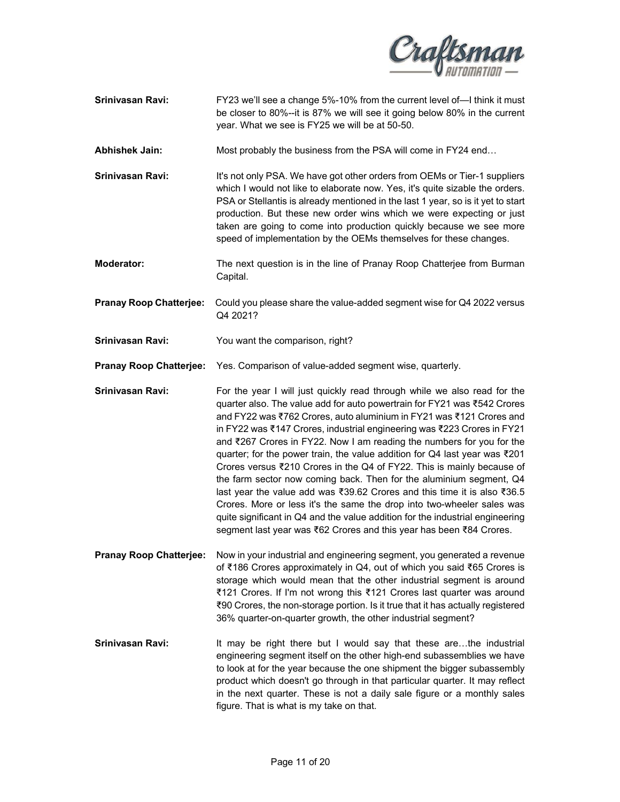

**Srinivasan Ravi:** FY23 we'll see a change 5%-10% from the current level of—I think it must be closer to 80%--it is 87% we will see it going below 80% in the current year. What we see is FY25 we will be at 50-50.

**Abhishek Jain:** Most probably the business from the PSA will come in FY24 end…

- **Srinivasan Ravi:** It's not only PSA. We have got other orders from OEMs or Tier-1 suppliers which I would not like to elaborate now. Yes, it's quite sizable the orders. PSA or Stellantis is already mentioned in the last 1 year, so is it yet to start production. But these new order wins which we were expecting or just taken are going to come into production quickly because we see more speed of implementation by the OEMs themselves for these changes.
- **Moderator:** The next question is in the line of Pranay Roop Chatterjee from Burman Capital.

**Pranay Roop Chatterjee:** Could you please share the value-added segment wise for Q4 2022 versus Q4 2021?

**Srinivasan Ravi:** You want the comparison, right?

**Pranay Roop Chatterjee:** Yes. Comparison of value-added segment wise, quarterly.

**Srinivasan Ravi:** For the year I will just quickly read through while we also read for the quarter also. The value add for auto powertrain for FY21 was ₹542 Crores and FY22 was ₹762 Crores, auto aluminium in FY21 was ₹121 Crores and in FY22 was ₹147 Crores, industrial engineering was ₹223 Crores in FY21 and ₹267 Crores in FY22. Now I am reading the numbers for you for the quarter; for the power train, the value addition for Q4 last year was ₹201 Crores versus ₹210 Crores in the Q4 of FY22. This is mainly because of the farm sector now coming back. Then for the aluminium segment, Q4 last year the value add was ₹39.62 Crores and this time it is also ₹36.5 Crores. More or less it's the same the drop into two-wheeler sales was quite significant in Q4 and the value addition for the industrial engineering segment last year was ₹62 Crores and this year has been ₹84 Crores.

- **Pranay Roop Chatterjee:** Now in your industrial and engineering segment, you generated a revenue of ₹186 Crores approximately in Q4, out of which you said ₹65 Crores is storage which would mean that the other industrial segment is around ₹121 Crores. If I'm not wrong this ₹121 Crores last quarter was around ₹90 Crores, the non-storage portion. Is it true that it has actually registered 36% quarter-on-quarter growth, the other industrial segment?
- **Srinivasan Ravi:** It may be right there but I would say that these are...the industrial engineering segment itself on the other high-end subassemblies we have to look at for the year because the one shipment the bigger subassembly product which doesn't go through in that particular quarter. It may reflect in the next quarter. These is not a daily sale figure or a monthly sales figure. That is what is my take on that.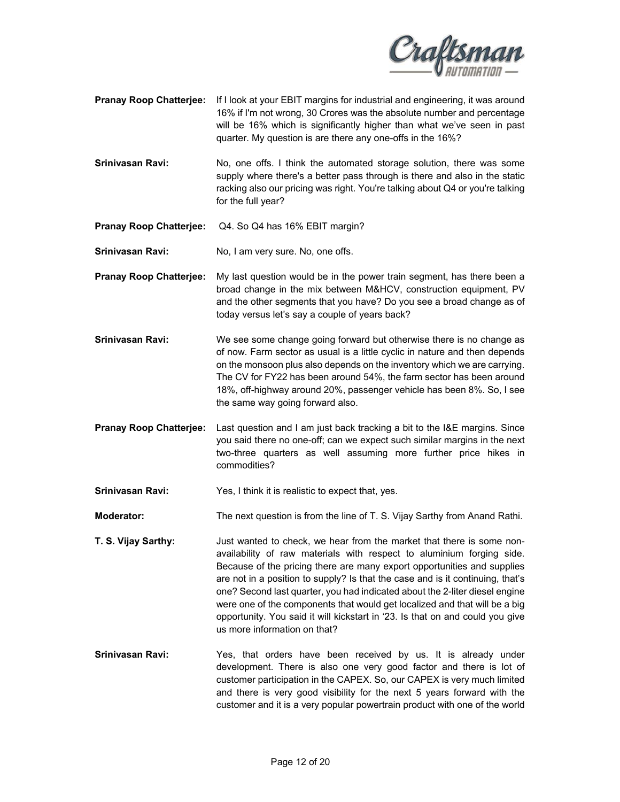

- **Pranay Roop Chatterjee:** If I look at your EBIT margins for industrial and engineering, it was around 16% if I'm not wrong, 30 Crores was the absolute number and percentage will be 16% which is significantly higher than what we've seen in past quarter. My question is are there any one-offs in the 16%?
- **Srinivasan Ravi:** No, one offs. I think the automated storage solution, there was some supply where there's a better pass through is there and also in the static racking also our pricing was right. You're talking about Q4 or you're talking for the full year?
- **Pranay Roop Chatterjee:** Q4. So Q4 has 16% EBIT margin?
- Srinivasan Ravi: No, I am very sure. No, one offs.
- **Pranay Roop Chatterjee:** My last question would be in the power train segment, has there been a broad change in the mix between M&HCV, construction equipment, PV and the other segments that you have? Do you see a broad change as of today versus let's say a couple of years back?
- **Srinivasan Ravi:** We see some change going forward but otherwise there is no change as of now. Farm sector as usual is a little cyclic in nature and then depends on the monsoon plus also depends on the inventory which we are carrying. The CV for FY22 has been around 54%, the farm sector has been around 18%, off-highway around 20%, passenger vehicle has been 8%. So, I see the same way going forward also.
- **Pranay Roop Chatterjee:** Last question and I am just back tracking a bit to the I&E margins. Since you said there no one-off; can we expect such similar margins in the next two-three quarters as well assuming more further price hikes in commodities?
- **Srinivasan Ravi:** Yes, I think it is realistic to expect that, yes.
- **Moderator:** The next question is from the line of T. S. Vijay Sarthy from Anand Rathi.
- **T. S. Vijay Sarthy:** Just wanted to check, we hear from the market that there is some nonavailability of raw materials with respect to aluminium forging side. Because of the pricing there are many export opportunities and supplies are not in a position to supply? Is that the case and is it continuing, that's one? Second last quarter, you had indicated about the 2-liter diesel engine were one of the components that would get localized and that will be a big opportunity. You said it will kickstart in '23. Is that on and could you give us more information on that?
- **Srinivasan Ravi:** Yes, that orders have been received by us. It is already under development. There is also one very good factor and there is lot of customer participation in the CAPEX. So, our CAPEX is very much limited and there is very good visibility for the next 5 years forward with the customer and it is a very popular powertrain product with one of the world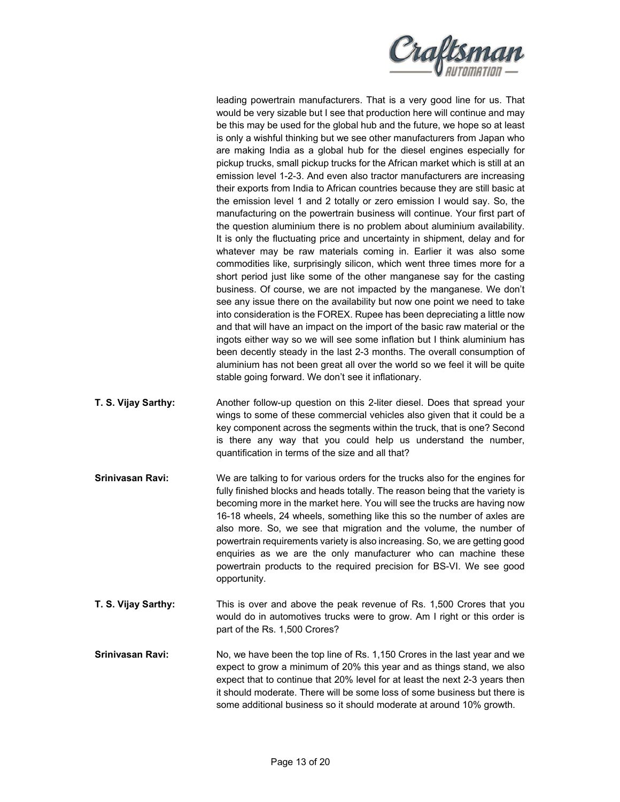

leading powertrain manufacturers. That is a very good line for us. That would be very sizable but I see that production here will continue and may be this may be used for the global hub and the future, we hope so at least is only a wishful thinking but we see other manufacturers from Japan who are making India as a global hub for the diesel engines especially for pickup trucks, small pickup trucks for the African market which is still at an emission level 1-2-3. And even also tractor manufacturers are increasing their exports from India to African countries because they are still basic at the emission level 1 and 2 totally or zero emission I would say. So, the manufacturing on the powertrain business will continue. Your first part of the question aluminium there is no problem about aluminium availability. It is only the fluctuating price and uncertainty in shipment, delay and for whatever may be raw materials coming in. Earlier it was also some commodities like, surprisingly silicon, which went three times more for a short period just like some of the other manganese say for the casting business. Of course, we are not impacted by the manganese. We don't see any issue there on the availability but now one point we need to take into consideration is the FOREX. Rupee has been depreciating a little now and that will have an impact on the import of the basic raw material or the ingots either way so we will see some inflation but I think aluminium has been decently steady in the last 2-3 months. The overall consumption of aluminium has not been great all over the world so we feel it will be quite stable going forward. We don't see it inflationary.

- **T. S. Vijay Sarthy:** Another follow-up question on this 2-liter diesel. Does that spread your wings to some of these commercial vehicles also given that it could be a key component across the segments within the truck, that is one? Second is there any way that you could help us understand the number, quantification in terms of the size and all that?
- **Srinivasan Ravi:** We are talking to for various orders for the trucks also for the engines for fully finished blocks and heads totally. The reason being that the variety is becoming more in the market here. You will see the trucks are having now 16-18 wheels, 24 wheels, something like this so the number of axles are also more. So, we see that migration and the volume, the number of powertrain requirements variety is also increasing. So, we are getting good enquiries as we are the only manufacturer who can machine these powertrain products to the required precision for BS-VI. We see good opportunity.
- **T. S. Vijay Sarthy:** This is over and above the peak revenue of Rs. 1,500 Crores that you would do in automotives trucks were to grow. Am I right or this order is part of the Rs. 1,500 Crores?
- **Srinivasan Ravi:** No, we have been the top line of Rs. 1,150 Crores in the last year and we expect to grow a minimum of 20% this year and as things stand, we also expect that to continue that 20% level for at least the next 2-3 years then it should moderate. There will be some loss of some business but there is some additional business so it should moderate at around 10% growth.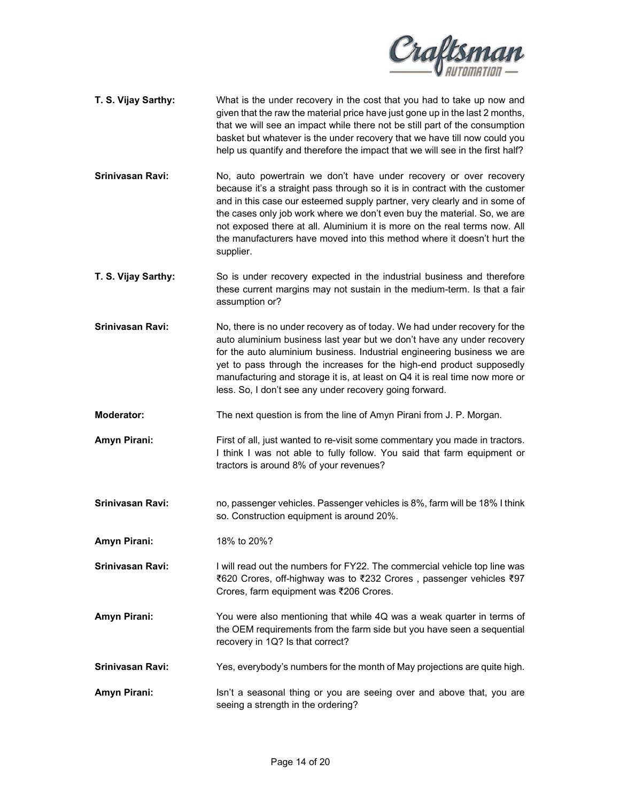

- **T. S. Vijay Sarthy:** What is the under recovery in the cost that you had to take up now and given that the raw the material price have just gone up in the last 2 months, that we will see an impact while there not be still part of the consumption basket but whatever is the under recovery that we have till now could you help us quantify and therefore the impact that we will see in the first half?
- **Srinivasan Ravi:** No, auto powertrain we don't have under recovery or over recovery because it's a straight pass through so it is in contract with the customer and in this case our esteemed supply partner, very clearly and in some of the cases only job work where we don't even buy the material. So, we are not exposed there at all. Aluminium it is more on the real terms now. All the manufacturers have moved into this method where it doesn't hurt the supplier.
- **T. S. Vijay Sarthy:** So is under recovery expected in the industrial business and therefore these current margins may not sustain in the medium-term. Is that a fair assumption or?
- **Srinivasan Ravi:** No, there is no under recovery as of today. We had under recovery for the auto aluminium business last year but we don't have any under recovery for the auto aluminium business. Industrial engineering business we are yet to pass through the increases for the high-end product supposedly manufacturing and storage it is, at least on Q4 it is real time now more or less. So, I don't see any under recovery going forward.
- **Moderator:** The next question is from the line of Amyn Pirani from J. P. Morgan.
- Amyn Pirani: **First of all, just wanted to re-visit some commentary you made in tractors.** I think I was not able to fully follow. You said that farm equipment or tractors is around 8% of your revenues?
- **Srinivasan Ravi:** no, passenger vehicles. Passenger vehicles is 8%, farm will be 18% I think so. Construction equipment is around 20%.
- **Amyn Pirani:** 18% to 20%?
- **Srinivasan Ravi:** I will read out the numbers for FY22. The commercial vehicle top line was ₹620 Crores, off-highway was to ₹232 Crores , passenger vehicles ₹97 Crores, farm equipment was ₹206 Crores.
- **Amyn Pirani:** You were also mentioning that while 4Q was a weak quarter in terms of the OEM requirements from the farm side but you have seen a sequential recovery in 1Q? Is that correct?
- **Srinivasan Ravi:** Yes, everybody's numbers for the month of May projections are quite high.
- **Amyn Pirani:** Isn't a seasonal thing or you are seeing over and above that, you are seeing a strength in the ordering?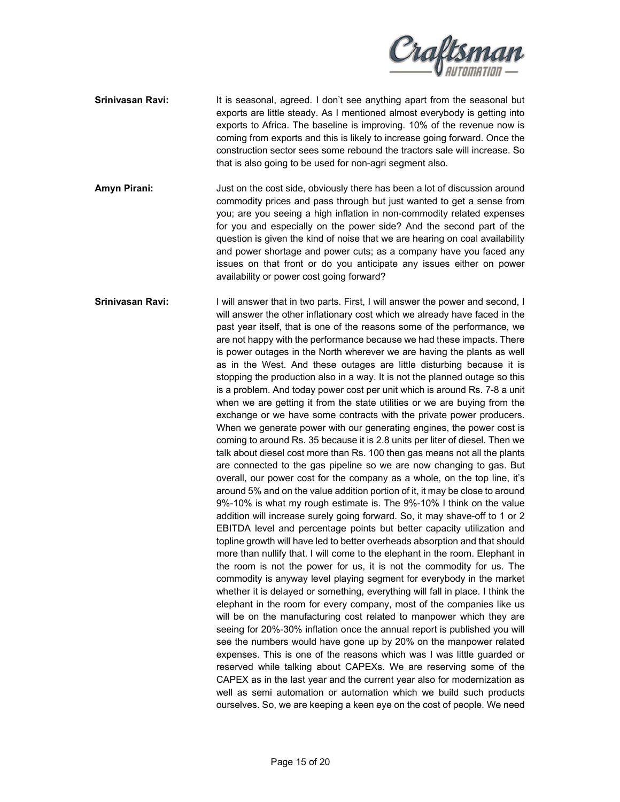

- **Srinivasan Ravi:** It is seasonal, agreed. I don't see anything apart from the seasonal but exports are little steady. As I mentioned almost everybody is getting into exports to Africa. The baseline is improving. 10% of the revenue now is coming from exports and this is likely to increase going forward. Once the construction sector sees some rebound the tractors sale will increase. So that is also going to be used for non-agri segment also.
- **Amyn Pirani:** Just on the cost side, obviously there has been a lot of discussion around commodity prices and pass through but just wanted to get a sense from you; are you seeing a high inflation in non-commodity related expenses for you and especially on the power side? And the second part of the question is given the kind of noise that we are hearing on coal availability and power shortage and power cuts; as a company have you faced any issues on that front or do you anticipate any issues either on power availability or power cost going forward?
- **Srinivasan Ravi:** I will answer that in two parts. First, I will answer the power and second, I will answer the other inflationary cost which we already have faced in the past year itself, that is one of the reasons some of the performance, we are not happy with the performance because we had these impacts. There is power outages in the North wherever we are having the plants as well as in the West. And these outages are little disturbing because it is stopping the production also in a way. It is not the planned outage so this is a problem. And today power cost per unit which is around Rs. 7-8 a unit when we are getting it from the state utilities or we are buying from the exchange or we have some contracts with the private power producers. When we generate power with our generating engines, the power cost is coming to around Rs. 35 because it is 2.8 units per liter of diesel. Then we talk about diesel cost more than Rs. 100 then gas means not all the plants are connected to the gas pipeline so we are now changing to gas. But overall, our power cost for the company as a whole, on the top line, it's around 5% and on the value addition portion of it, it may be close to around 9%-10% is what my rough estimate is. The 9%-10% I think on the value addition will increase surely going forward. So, it may shave-off to 1 or 2 EBITDA level and percentage points but better capacity utilization and topline growth will have led to better overheads absorption and that should more than nullify that. I will come to the elephant in the room. Elephant in the room is not the power for us, it is not the commodity for us. The commodity is anyway level playing segment for everybody in the market whether it is delayed or something, everything will fall in place. I think the elephant in the room for every company, most of the companies like us will be on the manufacturing cost related to manpower which they are seeing for 20%-30% inflation once the annual report is published you will see the numbers would have gone up by 20% on the manpower related expenses. This is one of the reasons which was I was little guarded or reserved while talking about CAPEXs. We are reserving some of the CAPEX as in the last year and the current year also for modernization as well as semi automation or automation which we build such products ourselves. So, we are keeping a keen eye on the cost of people. We need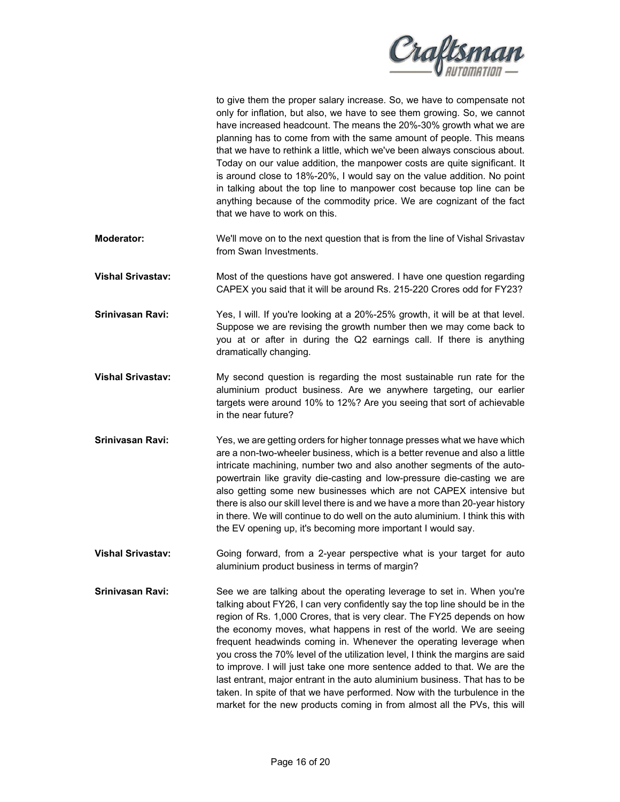

| to give them the proper salary increase. So, we have to compensate not     |
|----------------------------------------------------------------------------|
| only for inflation, but also, we have to see them growing. So, we cannot   |
| have increased headcount. The means the 20%-30% growth what we are         |
| planning has to come from with the same amount of people. This means       |
| that we have to rethink a little, which we've been always conscious about. |
| Today on our value addition, the manpower costs are quite significant. It  |
| is around close to 18%-20%, I would say on the value addition. No point    |
| in talking about the top line to manpower cost because top line can be     |
| anything because of the commodity price. We are cognizant of the fact      |
| that we have to work on this.                                              |

- **Moderator:** We'll move on to the next question that is from the line of Vishal Srivastav from Swan Investments.
- **Vishal Srivastav:** Most of the questions have got answered. I have one question regarding CAPEX you said that it will be around Rs. 215-220 Crores odd for FY23?
- **Srinivasan Ravi:** Yes, I will. If you're looking at a 20%-25% growth, it will be at that level. Suppose we are revising the growth number then we may come back to you at or after in during the Q2 earnings call. If there is anything dramatically changing.
- **Vishal Srivastav:** My second question is regarding the most sustainable run rate for the aluminium product business. Are we anywhere targeting, our earlier targets were around 10% to 12%? Are you seeing that sort of achievable in the near future?
- **Srinivasan Ravi:** Yes, we are getting orders for higher tonnage presses what we have which are a non-two-wheeler business, which is a better revenue and also a little intricate machining, number two and also another segments of the autopowertrain like gravity die-casting and low-pressure die-casting we are also getting some new businesses which are not CAPEX intensive but there is also our skill level there is and we have a more than 20-year history in there. We will continue to do well on the auto aluminium. I think this with the EV opening up, it's becoming more important I would say.
- **Vishal Srivastav:** Going forward, from a 2-year perspective what is your target for auto aluminium product business in terms of margin?
- **Srinivasan Ravi:** See we are talking about the operating leverage to set in. When you're talking about FY26, I can very confidently say the top line should be in the region of Rs. 1,000 Crores, that is very clear. The FY25 depends on how the economy moves, what happens in rest of the world. We are seeing frequent headwinds coming in. Whenever the operating leverage when you cross the 70% level of the utilization level, I think the margins are said to improve. I will just take one more sentence added to that. We are the last entrant, major entrant in the auto aluminium business. That has to be taken. In spite of that we have performed. Now with the turbulence in the market for the new products coming in from almost all the PVs, this will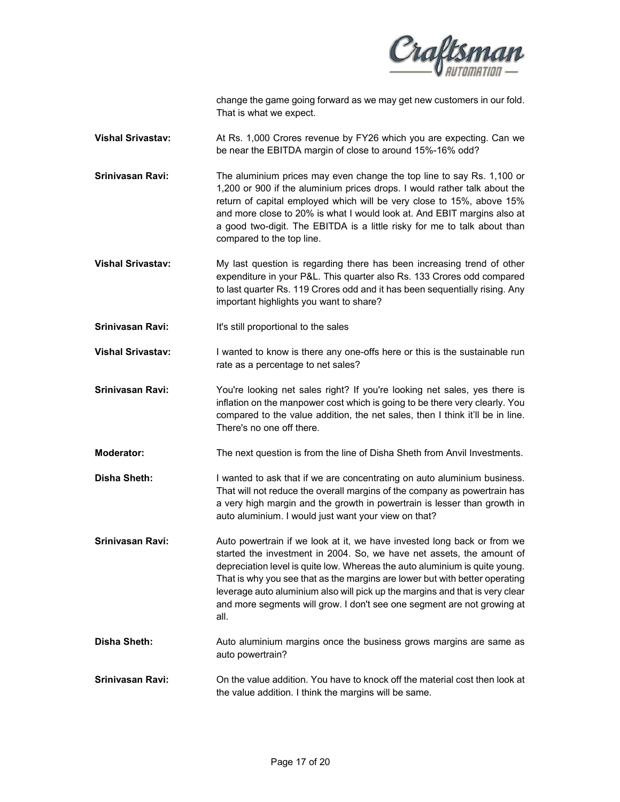

change the game going forward as we may get new customers in our fold. That is what we expect.

**Vishal Srivastav:** At Rs. 1,000 Crores revenue by FY26 which you are expecting. Can we be near the EBITDA margin of close to around 15%-16% odd?

**Srinivasan Ravi:** The aluminium prices may even change the top line to say Rs. 1,100 or 1,200 or 900 if the aluminium prices drops. I would rather talk about the return of capital employed which will be very close to 15%, above 15% and more close to 20% is what I would look at. And EBIT margins also at a good two-digit. The EBITDA is a little risky for me to talk about than compared to the top line.

**Vishal Srivastav:** My last question is regarding there has been increasing trend of other expenditure in your P&L. This quarter also Rs. 133 Crores odd compared to last quarter Rs. 119 Crores odd and it has been sequentially rising. Any important highlights you want to share?

**Srinivasan Ravi:** It's still proportional to the sales

**Vishal Srivastav:** I wanted to know is there any one-offs here or this is the sustainable run rate as a percentage to net sales?

**Srinivasan Ravi:** You're looking net sales right? If you're looking net sales, yes there is inflation on the manpower cost which is going to be there very clearly. You compared to the value addition, the net sales, then I think it'll be in line. There's no one off there.

**Moderator:** The next question is from the line of Disha Sheth from Anvil Investments.

- **Disha Sheth:** I wanted to ask that if we are concentrating on auto aluminium business. That will not reduce the overall margins of the company as powertrain has a very high margin and the growth in powertrain is lesser than growth in auto aluminium. I would just want your view on that?
- **Srinivasan Ravi:** Auto powertrain if we look at it, we have invested long back or from we started the investment in 2004. So, we have net assets, the amount of depreciation level is quite low. Whereas the auto aluminium is quite young. That is why you see that as the margins are lower but with better operating leverage auto aluminium also will pick up the margins and that is very clear and more segments will grow. I don't see one segment are not growing at all.
- **Disha Sheth:** Auto aluminium margins once the business grows margins are same as auto powertrain?
- **Srinivasan Ravi:** On the value addition. You have to knock off the material cost then look at the value addition. I think the margins will be same.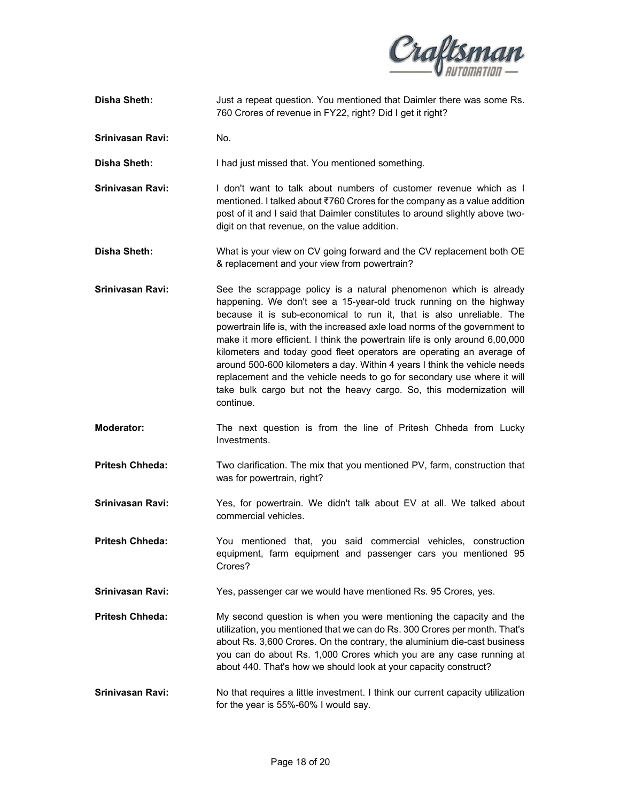

- **Disha Sheth:** Just a repeat question. You mentioned that Daimler there was some Rs. 760 Crores of revenue in FY22, right? Did I get it right?
- **Srinivasan Ravi:** No.

**Disha Sheth:** I had just missed that. You mentioned something.

**Srinivasan Ravi:** I don't want to talk about numbers of customer revenue which as I mentioned. I talked about ₹760 Crores for the company as a value addition post of it and I said that Daimler constitutes to around slightly above twodigit on that revenue, on the value addition.

- **Disha Sheth:** What is your view on CV going forward and the CV replacement both OE & replacement and your view from powertrain?
- **Srinivasan Ravi:** See the scrappage policy is a natural phenomenon which is already happening. We don't see a 15-year-old truck running on the highway because it is sub-economical to run it, that is also unreliable. The powertrain life is, with the increased axle load norms of the government to make it more efficient. I think the powertrain life is only around 6,00,000 kilometers and today good fleet operators are operating an average of around 500-600 kilometers a day. Within 4 years I think the vehicle needs replacement and the vehicle needs to go for secondary use where it will take bulk cargo but not the heavy cargo. So, this modernization will continue.
- **Moderator:** The next question is from the line of Pritesh Chheda from Lucky Investments.
- **Pritesh Chheda:** Two clarification. The mix that you mentioned PV, farm, construction that was for powertrain, right?
- Srinivasan Ravi: Yes, for powertrain. We didn't talk about EV at all. We talked about commercial vehicles.
- **Pritesh Chheda:** You mentioned that, you said commercial vehicles, construction equipment, farm equipment and passenger cars you mentioned 95 Crores?
- **Srinivasan Ravi:** Yes, passenger car we would have mentioned Rs. 95 Crores, yes.
- **Pritesh Chheda:** My second question is when you were mentioning the capacity and the utilization, you mentioned that we can do Rs. 300 Crores per month. That's about Rs. 3,600 Crores. On the contrary, the aluminium die-cast business you can do about Rs. 1,000 Crores which you are any case running at about 440. That's how we should look at your capacity construct?
- **Srinivasan Ravi:** No that requires a little investment. I think our current capacity utilization for the year is 55%-60% I would say.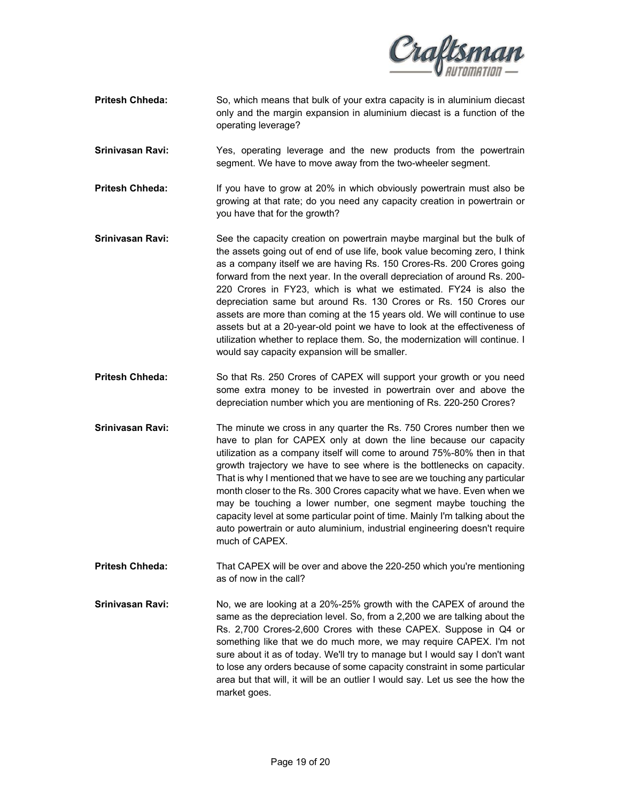

- **Pritesh Chheda:** So, which means that bulk of your extra capacity is in aluminium diecast only and the margin expansion in aluminium diecast is a function of the operating leverage?
- **Srinivasan Ravi:** Yes, operating leverage and the new products from the powertrain segment. We have to move away from the two-wheeler segment.
- **Pritesh Chheda:** If you have to grow at 20% in which obviously powertrain must also be growing at that rate; do you need any capacity creation in powertrain or you have that for the growth?
- **Srinivasan Ravi:** See the capacity creation on powertrain maybe marginal but the bulk of the assets going out of end of use life, book value becoming zero, I think as a company itself we are having Rs. 150 Crores-Rs. 200 Crores going forward from the next year. In the overall depreciation of around Rs. 200- 220 Crores in FY23, which is what we estimated. FY24 is also the depreciation same but around Rs. 130 Crores or Rs. 150 Crores our assets are more than coming at the 15 years old. We will continue to use assets but at a 20-year-old point we have to look at the effectiveness of utilization whether to replace them. So, the modernization will continue. I would say capacity expansion will be smaller.
- Pritesh Chheda: So that Rs. 250 Crores of CAPEX will support your growth or you need some extra money to be invested in powertrain over and above the depreciation number which you are mentioning of Rs. 220-250 Crores?
- **Srinivasan Ravi:** The minute we cross in any quarter the Rs. 750 Crores number then we have to plan for CAPEX only at down the line because our capacity utilization as a company itself will come to around 75%-80% then in that growth trajectory we have to see where is the bottlenecks on capacity. That is why I mentioned that we have to see are we touching any particular month closer to the Rs. 300 Crores capacity what we have. Even when we may be touching a lower number, one segment maybe touching the capacity level at some particular point of time. Mainly I'm talking about the auto powertrain or auto aluminium, industrial engineering doesn't require much of CAPEX.
- **Pritesh Chheda:** That CAPEX will be over and above the 220-250 which you're mentioning as of now in the call?
- **Srinivasan Ravi:** No, we are looking at a 20%-25% growth with the CAPEX of around the same as the depreciation level. So, from a 2,200 we are talking about the Rs. 2,700 Crores-2,600 Crores with these CAPEX. Suppose in Q4 or something like that we do much more, we may require CAPEX. I'm not sure about it as of today. We'll try to manage but I would say I don't want to lose any orders because of some capacity constraint in some particular area but that will, it will be an outlier I would say. Let us see the how the market goes.